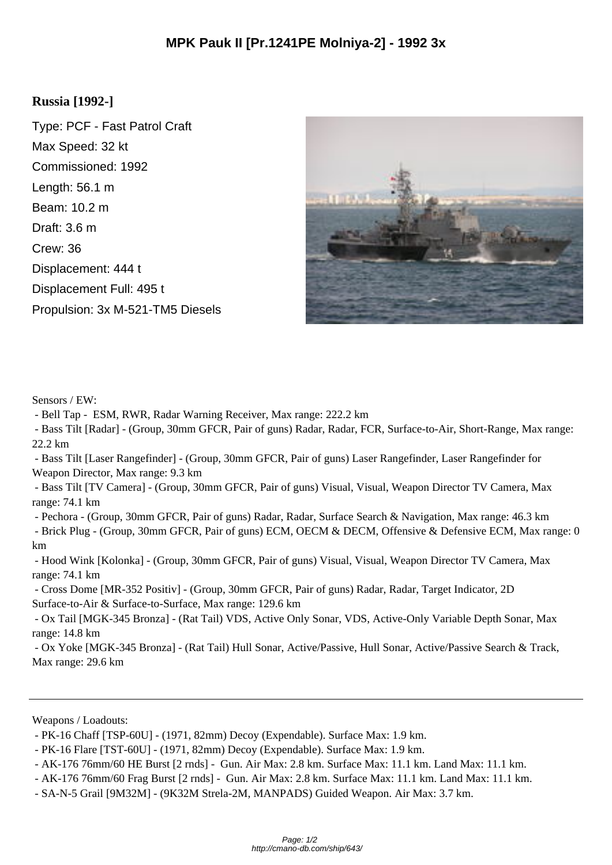## **Russia [1992-]**

Type: PCF - Fast Patrol Craft Max Speed: 32 kt Commissioned: 1992 Length: 56.1 m Beam: 10.2 m Draft: 3.6 m Crew: 36 Displacement: 444 t Displacement Full: 495 t Propulsion: 3x M-521-TM5 Diesels



Sensors / EW:

- Bell Tap - ESM, RWR, Radar Warning Receiver, Max range: 222.2 km

 - Bass Tilt [Radar] - (Group, 30mm GFCR, Pair of guns) Radar, Radar, FCR, Surface-to-Air, Short-Range, Max range: 22.2 km

 - Bass Tilt [Laser Rangefinder] - (Group, 30mm GFCR, Pair of guns) Laser Rangefinder, Laser Rangefinder for Weapon Director, Max range: 9.3 km

 - Bass Tilt [TV Camera] - (Group, 30mm GFCR, Pair of guns) Visual, Visual, Weapon Director TV Camera, Max range: 74.1 km

- Pechora - (Group, 30mm GFCR, Pair of guns) Radar, Radar, Surface Search & Navigation, Max range: 46.3 km

 - Brick Plug - (Group, 30mm GFCR, Pair of guns) ECM, OECM & DECM, Offensive & Defensive ECM, Max range: 0 km

 - Hood Wink [Kolonka] - (Group, 30mm GFCR, Pair of guns) Visual, Visual, Weapon Director TV Camera, Max range: 74.1 km

 - Cross Dome [MR-352 Positiv] - (Group, 30mm GFCR, Pair of guns) Radar, Radar, Target Indicator, 2D Surface-to-Air & Surface-to-Surface, Max range: 129.6 km

 - Ox Tail [MGK-345 Bronza] - (Rat Tail) VDS, Active Only Sonar, VDS, Active-Only Variable Depth Sonar, Max range: 14.8 km

 - Ox Yoke [MGK-345 Bronza] - (Rat Tail) Hull Sonar, Active/Passive, Hull Sonar, Active/Passive Search & Track, Max range: 29.6 km

Weapons / Loadouts:

 <sup>-</sup> PK-16 Chaff [TSP-60U] - (1971, 82mm) Decoy (Expendable). Surface Max: 1.9 km.

 <sup>-</sup> PK-16 Flare [TST-60U] - (1971, 82mm) Decoy (Expendable). Surface Max: 1.9 km.

 <sup>-</sup> AK-176 76mm/60 HE Burst [2 rnds] - Gun. Air Max: 2.8 km. Surface Max: 11.1 km. Land Max: 11.1 km.

 <sup>-</sup> AK-176 76mm/60 Frag Burst [2 rnds] - Gun. Air Max: 2.8 km. Surface Max: 11.1 km. Land Max: 11.1 km.

 <sup>-</sup> SA-N-5 Grail [9M32M] - (9K32M Strela-2M, MANPADS) Guided Weapon. Air Max: 3.7 km.